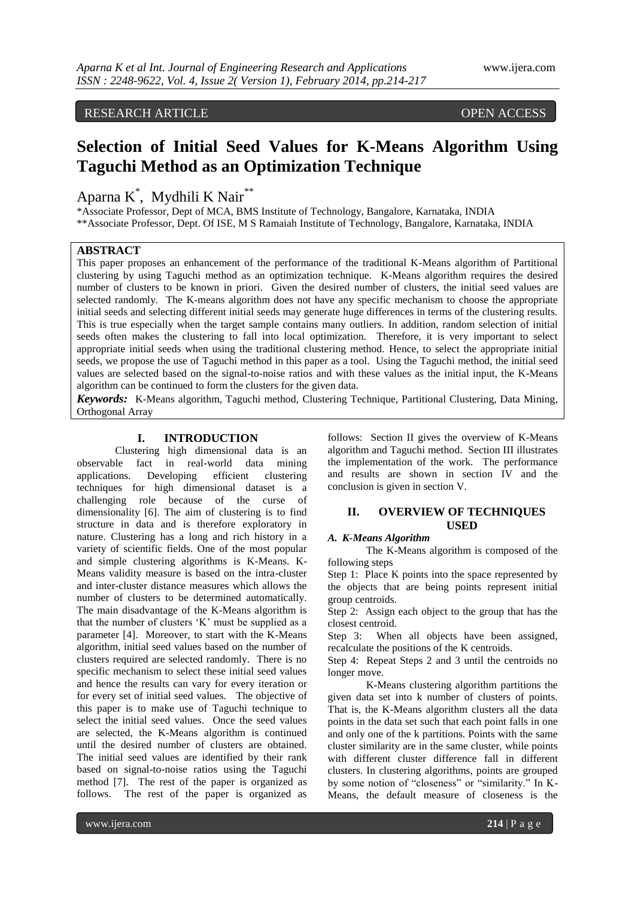# RESEARCH ARTICLE **COPEN ACCESS**

# **Selection of Initial Seed Values for K-Means Algorithm Using Taguchi Method as an Optimization Technique**

Aparna K<sup>\*</sup>, Mydhili K Nair<sup>\*\*</sup>

\*Associate Professor, Dept of MCA, BMS Institute of Technology, Bangalore, Karnataka, INDIA \*\*Associate Professor, Dept. Of ISE, M S Ramaiah Institute of Technology, Bangalore, Karnataka, INDIA

# **ABSTRACT**

This paper proposes an enhancement of the performance of the traditional K-Means algorithm of Partitional clustering by using Taguchi method as an optimization technique. K-Means algorithm requires the desired number of clusters to be known in priori. Given the desired number of clusters, the initial seed values are selected randomly. The K-means algorithm does not have any specific mechanism to choose the appropriate initial seeds and selecting different initial seeds may generate huge differences in terms of the clustering results. This is true especially when the target sample contains many outliers. In addition, random selection of initial seeds often makes the clustering to fall into local optimization. Therefore, it is very important to select appropriate initial seeds when using the traditional clustering method. Hence, to select the appropriate initial seeds, we propose the use of Taguchi method in this paper as a tool. Using the Taguchi method, the initial seed values are selected based on the signal-to-noise ratios and with these values as the initial input, the K-Means algorithm can be continued to form the clusters for the given data.

*Keywords:* K-Means algorithm, Taguchi method, Clustering Technique, Partitional Clustering, Data Mining, Orthogonal Array

# **I. INTRODUCTION**

Clustering high dimensional data is an observable fact in real-world data mining applications. Developing efficient clustering techniques for high dimensional dataset is a challenging role because of the curse of dimensionality [6]. The aim of clustering is to find structure in data and is therefore exploratory in nature. Clustering has a long and rich history in a variety of scientific fields. One of the most popular and simple clustering algorithms is K-Means. K-Means validity measure is based on the intra-cluster and inter-cluster distance measures which allows the number of clusters to be determined automatically. The main disadvantage of the K-Means algorithm is that the number of clusters "K" must be supplied as a parameter [4]. Moreover, to start with the K-Means algorithm, initial seed values based on the number of clusters required are selected randomly. There is no specific mechanism to select these initial seed values and hence the results can vary for every iteration or for every set of initial seed values. The objective of this paper is to make use of Taguchi technique to select the initial seed values. Once the seed values are selected, the K-Means algorithm is continued until the desired number of clusters are obtained. The initial seed values are identified by their rank based on signal-to-noise ratios using the Taguchi method [7]. The rest of the paper is organized as follows. The rest of the paper is organized as

follows: Section II gives the overview of K-Means algorithm and Taguchi method. Section III illustrates the implementation of the work. The performance and results are shown in section IV and the conclusion is given in section V.

# **II. OVERVIEW OF TECHNIQUES USED**

#### *A. K-Means Algorithm*

The K-Means algorithm is composed of the following steps

Step 1: Place K points into the space represented by the objects that are being points represent initial group centroids.

Step 2: Assign each object to the group that has the closest centroid.

Step 3: When all objects have been assigned, recalculate the positions of the K centroids.

Step 4: Repeat Steps 2 and 3 until the centroids no longer move.

K-Means clustering algorithm partitions the given data set into k number of clusters of points. That is, the K-Means algorithm clusters all the data points in the data set such that each point falls in one and only one of the k partitions. Points with the same cluster similarity are in the same cluster, while points with different cluster difference fall in different clusters. In clustering algorithms, points are grouped by some notion of "closeness" or "similarity." In K-Means, the default measure of closeness is the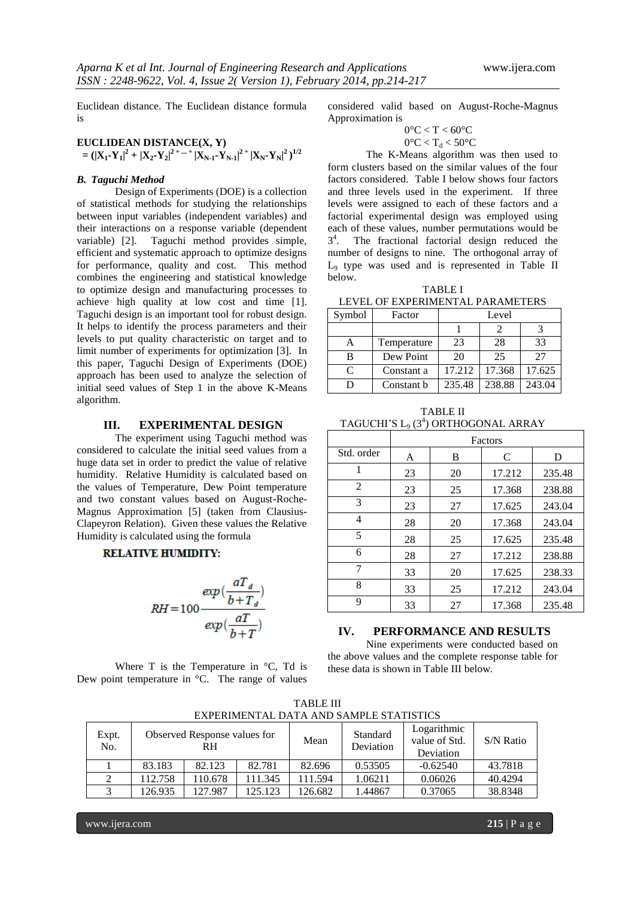Euclidean distance. The Euclidean distance formula is

# **EUCLIDEAN DISTANCE(X, Y)**

 $=(|\mathbf{X}_1\text{-}\mathbf{Y}_1|^2+|\mathbf{X}_2\text{-}\mathbf{Y}_2|^{2+\text{ ... }+}|\mathbf{X}_{N\text{-}1}\text{-}\mathbf{Y}_{N\text{-}1}|^{2}+|\mathbf{X}_N\text{-}\mathbf{Y}_N|^2)^{1/2}$ 

# *B. Taguchi Method*

Design of Experiments (DOE) is a collection of statistical methods for studying the relationships between input variables (independent variables) and their interactions on a response variable (dependent variable) [2]. Taguchi method provides simple, efficient and systematic approach to optimize designs for performance, quality and cost. This method combines the engineering and statistical knowledge to optimize design and manufacturing processes to achieve high quality at low cost and time [1]. Taguchi design is an important tool for robust design. It helps to identify the process parameters and their levels to put quality characteristic on target and to limit number of experiments for optimization [3]. In this paper, Taguchi Design of Experiments (DOE) approach has been used to analyze the selection of initial seed values of Step 1 in the above K-Means algorithm.

#### **III. EXPERIMENTAL DESIGN**

The experiment using Taguchi method was considered to calculate the initial seed values from a huge data set in order to predict the value of relative humidity. Relative Humidity is calculated based on the values of Temperature, Dew Point temperature and two constant values based on August-Roche-Magnus Approximation [5] (taken from Clausius-Clapeyron Relation). Given these values the Relative Humidity is calculated using the formula

#### **RELATIVE HUMIDITY:**

$$
RH = 100 \frac{exp(\frac{aT_d}{b+T_d})}{exp(\frac{aT}{b+T})}
$$

Where  $T$  is the Temperature in  $\mathrm{C}$ . Td is Dew point temperature in °C. The range of values

considered valid based on August-Roche-Magnus Approximation is

$$
0^{\circ}\text{C} < \text{T} < 60^{\circ}\text{C}
$$

 $0^{\circ}$ C < T<sub>d</sub> < 50°C

The K-Means algorithm was then used to form clusters based on the similar values of the four factors considered. Table I below shows four factors and three levels used in the experiment. If three levels were assigned to each of these factors and a factorial experimental design was employed using each of these values, number permutations would be 3 4 . The fractional factorial design reduced the number of designs to nine. The orthogonal array of L<sup>9</sup> type was used and is represented in Table II below.

TABLE I LEVEL OF EXPERIMENTAL PARAMETERS

| Symbol | Factor      | Level  |        |        |  |  |
|--------|-------------|--------|--------|--------|--|--|
|        |             |        |        |        |  |  |
| A      | Temperature | 23     | 28     | 33     |  |  |
| B      | Dew Point   | 20     | 25     | 27     |  |  |
| C      | Constant a  | 17.212 | 17.368 | 17.625 |  |  |
|        | Constant b  | 235.48 | 238.88 | 243.04 |  |  |

TABLE II TAGUCHI'S L<sub>9</sub> (3<sup>4</sup>) ORTHOGONAL ARRAY

|            | Factors |    |        |        |  |  |
|------------|---------|----|--------|--------|--|--|
| Std. order | A       | B  | C      | D      |  |  |
| 1          | 23      | 20 | 17.212 | 235.48 |  |  |
| 2          | 23      | 25 | 17.368 | 238.88 |  |  |
| 3          | 23      | 27 | 17.625 | 243.04 |  |  |
| 4          | 28      | 20 | 17.368 | 243.04 |  |  |
| 5          | 28      | 25 | 17.625 | 235.48 |  |  |
| 6          | 28      | 27 | 17.212 | 238.88 |  |  |
| 7          | 33      | 20 | 17.625 | 238.33 |  |  |
| 8          | 33      | 25 | 17.212 | 243.04 |  |  |
| 9          | 33      | 27 | 17.368 | 235.48 |  |  |

## **IV. PERFORMANCE AND RESULTS**

Nine experiments were conducted based on the above values and the complete response table for these data is shown in Table III below.

|              | LAT LINIVILIN TAL DATA AND SAWII LE STATISTICS |         |         |                       |                                           |            |         |  |
|--------------|------------------------------------------------|---------|---------|-----------------------|-------------------------------------------|------------|---------|--|
| Expt.<br>No. | Observed Response values for<br>RH             |         | Mean    | Standard<br>Deviation | Logarithmic<br>value of Std.<br>Deviation | S/N Ratio  |         |  |
|              | 83.183                                         | 82.123  | 82.781  | 82.696                | 0.53505                                   | $-0.62540$ | 43.7818 |  |
|              | 112.758                                        | 110.678 | 111.345 | 11.594                | 1.06211                                   | 0.06026    | 40.4294 |  |
|              | 126.935                                        | 127.987 | 125.123 | 26.682                | 1.44867                                   | 0.37065    | 38.8348 |  |

TABLE III EXPERIMENTAL DATA AND SAMPLE STATISTICS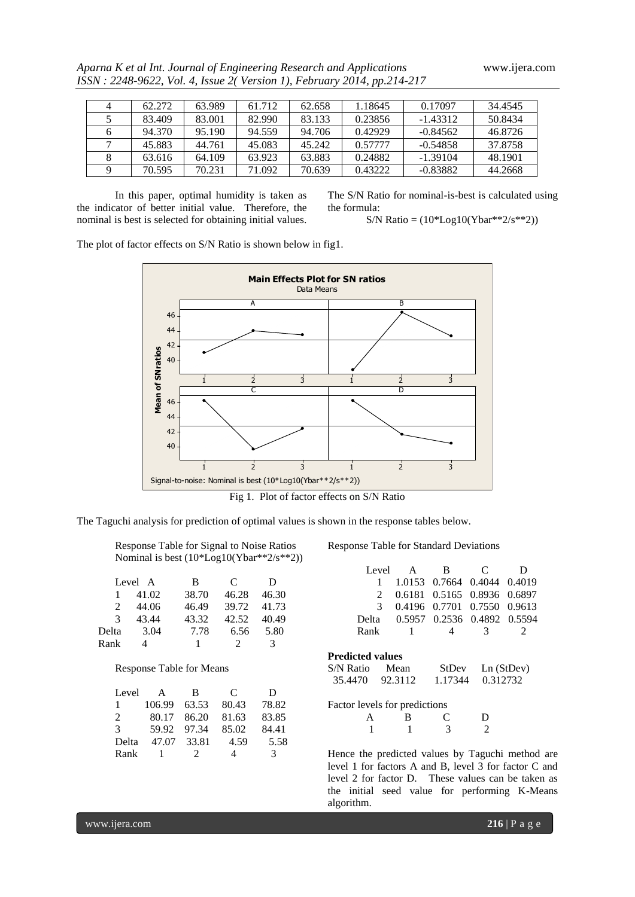|  | Aparna K et al Int. Journal of Engineering Research and Applications   |
|--|------------------------------------------------------------------------|
|  | ISSN: 2248-9622, Vol. 4, Issue 2(Version 1), February 2014, pp.214-217 |

| 4 | 62.272 | 63.989 | 61.712 | 62.658 | 1.18645 | 0.17097    | 34.4545 |
|---|--------|--------|--------|--------|---------|------------|---------|
|   | 83.409 | 83,001 | 82.990 | 83.133 | 0.23856 | $-1.43312$ | 50.8434 |
| 6 | 94.370 | 95.190 | 94.559 | 94.706 | 0.42929 | $-0.84562$ | 46.8726 |
|   | 45.883 | 44.761 | 45.083 | 45.242 | 0.57777 | $-0.54858$ | 37.8758 |
|   | 63.616 | 64.109 | 63.923 | 63.883 | 0.24882 | $-1.39104$ | 48.1901 |
|   | 70.595 | 70.231 | 71.092 | 70.639 | 0.43222 | $-0.83882$ | 44.2668 |

In this paper, optimal humidity is taken as the indicator of better initial value. Therefore, the nominal is best is selected for obtaining initial values. The S/N Ratio for nominal-is-best is calculated using the formula:

$$
S/N \text{ Ratio} = (10 * \text{Log}10(Ybar^{**}2/s^{**}2))
$$

The plot of factor effects on S/N Ratio is shown below in fig1.



Fig 1. Plot of factor effects on S/N Ratio

The Taguchi analysis for prediction of optimal values is shown in the response tables below.

| Response Table for Signal to Noise Ratios    |
|----------------------------------------------|
| Nominal is best $(10 * Log10(Ybar**2/s**2))$ |

|       | Level A | B     | C     | Ð     |
|-------|---------|-------|-------|-------|
|       | 41.02   | 38.70 | 46.28 | 46.30 |
|       | 44.06   | 46.49 | 39.72 | 41.73 |
| 3     | 43.44   | 43.32 | 42.52 | 40.49 |
| Delta | 3.04    | 7.78  | 6.56  | 5.80  |
| Rank  |         |       |       | 3     |

# Response Table for Means

| Level        | A      | <sub>R</sub>  | C        | D             |
|--------------|--------|---------------|----------|---------------|
| $\mathbf{1}$ | 106.99 | 63.53         | 80.43    | 78.82         |
| 2            | 80.17  | 86.20         | 81.63    | 83.85         |
| 3            | 59.92  | 97.34         | 85.02    | 84.41         |
| Delta        | 47.07  | 33.81         | 4.59     | 5.58          |
| Rank         |        | $\mathcal{D}$ | $\Delta$ | $\mathcal{R}$ |

Response Table for Standard Deviations

|      |                | Level A B                         | C  | Ð |
|------|----------------|-----------------------------------|----|---|
|      |                | 1 1.0153 0.7664 0.4044 0.4019     |    |   |
|      |                | 2 0.6181 0.5165 0.8936 0.6897     |    |   |
|      |                | 3 0.4196 0.7701 0.7550 0.9613     |    |   |
|      |                | Delta 0.5957 0.2536 0.4892 0.5594 |    |   |
| Rank | $\overline{1}$ |                                   | -3 |   |
|      |                |                                   |    |   |

# **Predicted values**

| S/N Ratio | Mean    | <b>StDev</b> | Ln(StDev) |
|-----------|---------|--------------|-----------|
| 35.4470   | 92.3112 | 1.17344      | 0.312732  |

|  | <sup>B</sup> | $\mathcal{C}$ | $\mathbf D$    |
|--|--------------|---------------|----------------|
|  |              |               | $\overline{2}$ |

Hence the predicted values by Taguchi method are level 1 for factors A and B, level 3 for factor C and level 2 for factor D. These values can be taken as the initial seed value for performing K-Means algorithm.